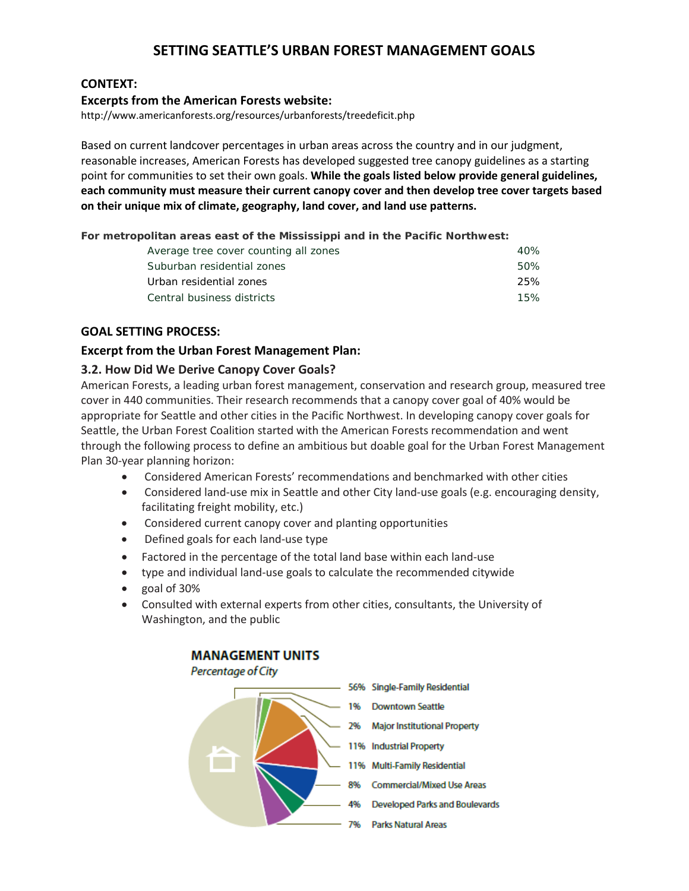## **SETTING SEATTLE'S URBAN FOREST MANAGEMENT GOALS**

#### **CONTEXT:**

#### **Excerpts from the American Forests website:**

http://www.americanforests.org/resources/urbanforests/treedeficit.php

Based on current landcover percentages in urban areas across the country and in our judgment, reasonable increases, American Forests has developed suggested tree canopy guidelines as a starting point for communities to set their own goals. **While the goals listed below provide general guidelines, each community must measure their current canopy cover and then develop tree cover targets based on their unique mix of climate, geography, land cover, and land use patterns.**

**For metropolitan areas east of the Mississippi and in the Pacific Northwest:**

| Average tree cover counting all zones | 40% |
|---------------------------------------|-----|
| Suburban residential zones            | 50% |
| Urban residential zones               | 25% |
| Central business districts            | 15% |
|                                       |     |

#### **GOAL SETTING PROCESS:**

#### **Excerpt from the Urban Forest Management Plan:**

#### **3.2. How Did We Derive Canopy Cover Goals?**

American Forests, a leading urban forest management, conservation and research group, measured tree cover in 440 communities. Their research recommends that a canopy cover goal of 40% would be appropriate for Seattle and other cities in the Pacific Northwest. In developing canopy cover goals for Seattle, the Urban Forest Coalition started with the American Forests recommendation and went through the following process to define an ambitious but doable goal for the Urban Forest Management Plan 30-year planning horizon:

- Considered American Forests' recommendations and benchmarked with other cities
- Considered land-use mix in Seattle and other City land-use goals (e.g. encouraging density, facilitating freight mobility, etc.)
- Considered current canopy cover and planting opportunities
- Defined goals for each land-use type
- Factored in the percentage of the total land base within each land-use
- type and individual land-use goals to calculate the recommended citywide
- goal of 30%
- Consulted with external experts from other cities, consultants, the University of Washington, and the public